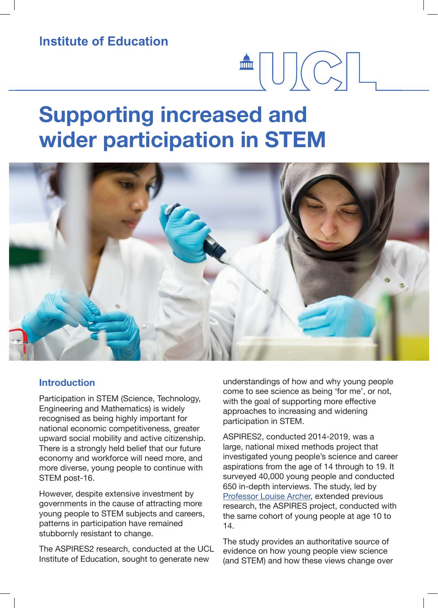**Institute of Education** 

# **Supporting increased and wider participation in STEM**



#### **Introduction**

Participation in STEM (Science, Technology, Engineering and Mathematics) is widely recognised as being highly important for national economic competitiveness, greater upward social mobility and active citizenship. There is a strongly held belief that our future economy and workforce will need more, and more diverse, young people to continue with STEM post-16.

However, despite extensive investment by governments in the cause of attracting more young people to STEM subjects and careers, patterns in participation have remained stubbornly resistant to change.

The ASPIRES2 research, conducted at the UCL Institute of Education, sought to generate new

understandings of how and why young people come to see science as being 'for me', or not, with the goal of supporting more effective approaches to increasing and widening participation in STEM.

 $\blacksquare \bigcup (\bigcirc \hspace{-0.12cm}\setminus\hspace{-0.12cm} \square \hspace{-0.12cm}\setminus\hspace{-0.12cm} \square$ 

ASPIRES2, conducted 2014-2019, was a large, national mixed methods project that investigated young people's science and career aspirations from the age of 14 through to 19. It surveyed 40,000 young people and conducted 650 in-depth interviews. The study, led by Professor Louise Archer, extended previous research, the ASPIRES project, conducted with the same cohort of young people at age 10 to 14.

The study provides an authoritative source of evidence on how young people view science (and STEM) and how these views change over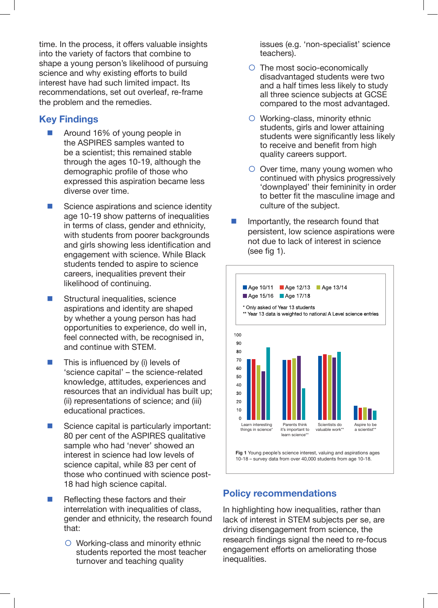time. In the process, it offers valuable insights into the variety of factors that combine to shape a young person's likelihood of pursuing science and why existing efforts to build interest have had such limited impact. Its recommendations, set out overleaf, re-frame the problem and the remedies.

## **Key Findings**

- Around 16% of young people in the ASPIRES samples wanted to be a scientist; this remained stable through the ages 10-19, although the demographic profile of those who expressed this aspiration became less diverse over time.
- $\blacksquare$  Science aspirations and science identity age 10-19 show patterns of inequalities in terms of class, gender and ethnicity, with students from poorer backgrounds and girls showing less identification and engagement with science. While Black students tended to aspire to science careers, inequalities prevent their likelihood of continuing.
- $\blacksquare$  Structural inequalities, science aspirations and identity are shaped by whether a young person has had opportunities to experience, do well in, feel connected with, be recognised in, and continue with STEM.
- $\blacksquare$  This is influenced by (i) levels of 'science capital' – the science-related knowledge, attitudes, experiences and resources that an individual has built up; (ii) representations of science; and (iii) educational practices.
- $\blacksquare$  Science capital is particularly important: 80 per cent of the ASPIRES qualitative sample who had 'never' showed an interest in science had low levels of science capital, while 83 per cent of those who continued with science post-18 had high science capital.
- $\blacksquare$  Reflecting these factors and their interrelation with inequalities of class, gender and ethnicity, the research found that:
	- $\circ$  Working-class and minority ethnic students reported the most teacher turnover and teaching quality

issues (e.g. 'non-specialist' science teachers).

- $\circ$  The most socio-economically disadvantaged students were two and a half times less likely to study all three science subjects at GCSE compared to the most advantaged.
- $\circ$  Working-class, minority ethnic students, girls and lower attaining students were significantly less likely to receive and benefit from high quality careers support.
- $\circ$  Over time, many young women who continued with physics progressively 'downplayed' their femininity in order to better fit the masculine image and culture of the subject.
- Importantly, the research found that persistent, low science aspirations were not due to lack of interest in science (see fig 1).



## **Policy recommendations**

In highlighting how inequalities, rather than lack of interest in STEM subjects per se, are driving disengagement from science, the research findings signal the need to re-focus engagement efforts on ameliorating those inequalities.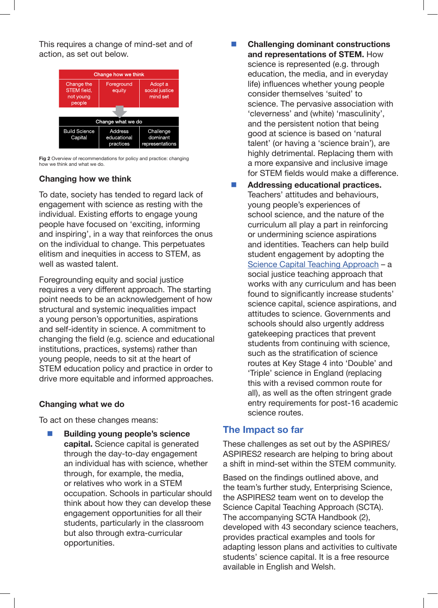This requires a change of mind-set and of action, as set out below.

| Change how we think                              |                                            |                                          |
|--------------------------------------------------|--------------------------------------------|------------------------------------------|
| Change the<br>STEM field,<br>not young<br>people | Foreground<br>equity                       | Adopt a<br>social justice<br>mind set    |
|                                                  |                                            |                                          |
| Change what we do                                |                                            |                                          |
| <b>Build Science</b><br>Capital                  | <b>Address</b><br>educational<br>practices | Challenge<br>dominant<br>representations |

**Fig 2** Overview of recommendations for policy and practice: changing how we think and what we do.

### **Changing how we think**

To date, society has tended to regard lack of engagement with science as resting with the individual. Existing efforts to engage young people have focused on 'exciting, informing and inspiring', in a way that reinforces the onus on the individual to change. This perpetuates elitism and inequities in access to STEM, as well as wasted talent.

Foregrounding equity and social justice requires a very different approach. The starting point needs to be an acknowledgement of how structural and systemic inequalities impact a young person's opportunities, aspirations and self-identity in science. A commitment to changing the field (e.g. science and educational institutions, practices, systems) rather than young people, needs to sit at the heart of STEM education policy and practice in order to drive more equitable and informed approaches.

### **Changing what we do**

To act on these changes means:

n **Building young people's science capital.** Science capital is generated through the day-to-day engagement an individual has with science, whether through, for example, the media, or relatives who work in a STEM occupation. Schools in particular should think about how they can develop these engagement opportunities for all their students, particularly in the classroom but also through extra-curricular opportunities.

- **Challenging dominant constructions and representations of STEM.** How science is represented (e.g. through education, the media, and in everyday life) influences whether young people consider themselves 'suited' to science. The pervasive association with 'cleverness' and (white) 'masculinity', and the persistent notion that being good at science is based on 'natural talent' (or having a 'science brain'), are highly detrimental. Replacing them with a more expansive and inclusive image for STEM fields would make a difference.
- n **Addressing educational practices.** Teachers' attitudes and behaviours, young people's experiences of school science, and the nature of the curriculum all play a part in reinforcing or undermining science aspirations and identities. Teachers can help build student engagement by adopting the Science Capital Teaching Approach – a social justice teaching approach that works with any curriculum and has been found to significantly increase students' science capital, science aspirations, and attitudes to science. Governments and schools should also urgently address gatekeeping practices that prevent students from continuing with science, such as the stratification of science routes at Key Stage 4 into 'Double' and 'Triple' science in England (replacing this with a revised common route for all), as well as the often stringent grade entry requirements for post-16 academic science routes.

## **The Impact so far**

These challenges as set out by the ASPIRES/ ASPIRES2 research are helping to bring about a shift in mind-set within the STEM community.

Based on the findings outlined above, and the team's further study, Enterprising Science, the ASPIRES2 team went on to develop the Science Capital Teaching Approach (SCTA). The accompanying SCTA Handbook (2), developed with 43 secondary science teachers, provides practical examples and tools for adapting lesson plans and activities to cultivate students' science capital. It is a free resource available in English and Welsh.